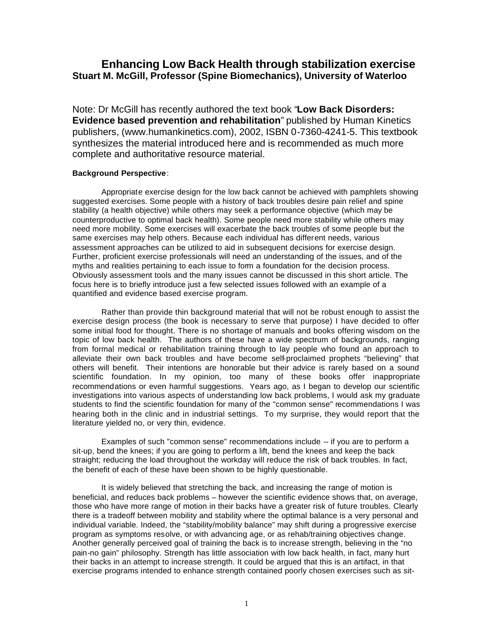# **Enhancing Low Back Health through stabilization exercise Stuart M. McGill, Professor (Spine Biomechanics), University of Waterloo**

Note: Dr McGill has recently authored the text book "**Low Back Disorders: Evidence based prevention and rehabilitation**" published by Human Kinetics publishers, (www.humankinetics.com), 2002, ISBN 0-7360-4241-5. This textbook synthesizes the material introduced here and is recommended as much more complete and authoritative resource material.

#### **Background Perspective**:

Appropriate exercise design for the low back cannot be achieved with pamphlets showing suggested exercises. Some people with a history of back troubles desire pain relief and spine stability (a health objective) while others may seek a performance objective (which may be counterproductive to optimal back health). Some people need more stability while others may need more mobility. Some exercises will exacerbate the back troubles of some people but the same exercises may help others. Because each individual has different needs, various assessment approaches can be utilized to aid in subsequent decisions for exercise design. Further, proficient exercise professionals will need an understanding of the issues, and of the myths and realities pertaining to each issue to form a foundation for the decision process. Obviously assessment tools and the many issues cannot be discussed in this short article. The focus here is to briefly introduce just a few selected issues followed with an example of a quantified and evidence based exercise program.

Rather than provide thin background material that will not be robust enough to assist the exercise design process (the book is necessary to serve that purpose) I have decided to offer some initial food for thought. There is no shortage of manuals and books offering wisdom on the topic of low back health. The authors of these have a wide spectrum of backgrounds, ranging from formal medical or rehabilitation training through to lay people who found an approach to alleviate their own back troubles and have become self-proclaimed prophets "believing" that others will benefit. Their intentions are honorable but their advice is rarely based on a sound scientific foundation. In my opinion, too many of these books offer inappropriate recommendations or even harmful suggestions. Years ago, as I began to develop our scientific investigations into various aspects of understanding low back problems, I would ask my graduate students to find the scientific foundation for many of the "common sense" recommendations I was hearing both in the clinic and in industrial settings. To my surprise, they would report that the literature yielded no, or very thin, evidence.

Examples of such "common sense" recommendations include -- if you are to perform a sit-up, bend the knees; if you are going to perform a lift, bend the knees and keep the back straight; reducing the load throughout the workday will reduce the risk of back troubles. In fact, the benefit of each of these have been shown to be highly questionable.

It is widely believed that stretching the back, and increasing the range of motion is beneficial, and reduces back problems – however the scientific evidence shows that, on average, those who have more range of motion in their backs have a greater risk of future troubles. Clearly there is a tradeoff between mobility and stability where the optimal balance is a very personal and individual variable. Indeed, the "stability/mobility balance" may shift during a progressive exercise program as symptoms resolve, or with advancing age, or as rehab/training objectives change. Another generally perceived goal of training the back is to increase strength, believing in the "no pain-no gain" philosophy. Strength has little association with low back health, in fact, many hurt their backs in an attempt to increase strength. It could be argued that this is an artifact, in that exercise programs intended to enhance strength contained poorly chosen exercises such as sit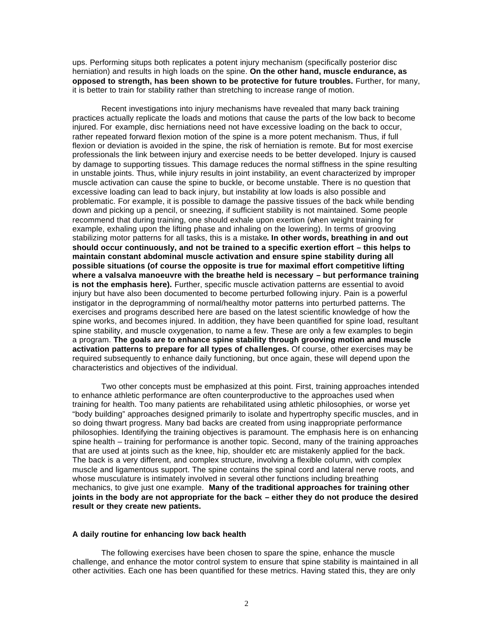ups. Performing situps both replicates a potent injury mechanism (specifically posterior disc herniation) and results in high loads on the spine. **On the other hand, muscle endurance, as opposed to strength, has been shown to be protective for future troubles.** Further, for many, it is better to train for stability rather than stretching to increase range of motion.

Recent investigations into injury mechanisms have revealed that many back training practices actually replicate the loads and motions that cause the parts of the low back to become injured. For example, disc herniations need not have excessive loading on the back to occur, rather repeated forward flexion motion of the spine is a more potent mechanism. Thus, if full flexion or deviation is avoided in the spine, the risk of herniation is remote. But for most exercise professionals the link between injury and exercise needs to be better developed. Injury is caused by damage to supporting tissues. This damage reduces the normal stiffness in the spine resulting in unstable joints. Thus, while injury results in joint instability, an event characterized by improper muscle activation can cause the spine to buckle, or become unstable. There is no question that excessive loading can lead to back injury, but instability at low loads is also possible and problematic. For example, it is possible to damage the passive tissues of the back while bending down and picking up a pencil, or sneezing, if sufficient stability is not maintained. Some people recommend that during training, one should exhale upon exertion (when weight training for example, exhaling upon the lifting phase and inhaling on the lowering). In terms of grooving stabilizing motor patterns for all tasks, this is a mistake**. In other words, breathing in and out should occur continuously, and not be trained to a specific exertion effort – this helps to maintain constant abdominal muscle activation and ensure spine stability during all possible situations (of course the opposite is true for maximal effort competitive lifting where a valsalva manoeuvre with the breathe held is necessary – but performance training is not the emphasis here).** Further, specific muscle activation patterns are essential to avoid injury but have also been documented to become perturbed following injury. Pain is a powerful instigator in the deprogramming of normal/healthy motor patterns into perturbed patterns. The exercises and programs described here are based on the latest scientific knowledge of how the spine works, and becomes injured. In addition, they have been quantified for spine load, resultant spine stability, and muscle oxygenation, to name a few. These are only a few examples to begin a program. **The goals are to enhance spine stability through grooving motion and muscle activation patterns to prepare for all types of challenges.** Of course, other exercises may be required subsequently to enhance daily functioning, but once again, these will depend upon the characteristics and objectives of the individual.

Two other concepts must be emphasized at this point. First, training approaches intended to enhance athletic performance are often counterproductive to the approaches used when training for health. Too many patients are rehabilitated using athletic philosophies, or worse yet "body building" approaches designed primarily to isolate and hypertrophy specific muscles, and in so doing thwart progress. Many bad backs are created from using inappropriate performance philosophies. Identifying the training objectives is paramount. The emphasis here is on enhancing spine health – training for performance is another topic. Second, many of the training approaches that are used at joints such as the knee, hip, shoulder etc are mistakenly applied for the back. The back is a very different, and complex structure, involving a flexible column, with complex muscle and ligamentous support. The spine contains the spinal cord and lateral nerve roots, and whose musculature is intimately involved in several other functions including breathing mechanics, to give just one example. **Many of the traditional approaches for training other joints in the body are not appropriate for the back – either they do not produce the desired result or they create new patients.**

#### **A daily routine for enhancing low back health**

The following exercises have been chosen to spare the spine, enhance the muscle challenge, and enhance the motor control system to ensure that spine stability is maintained in all other activities. Each one has been quantified for these metrics. Having stated this, they are only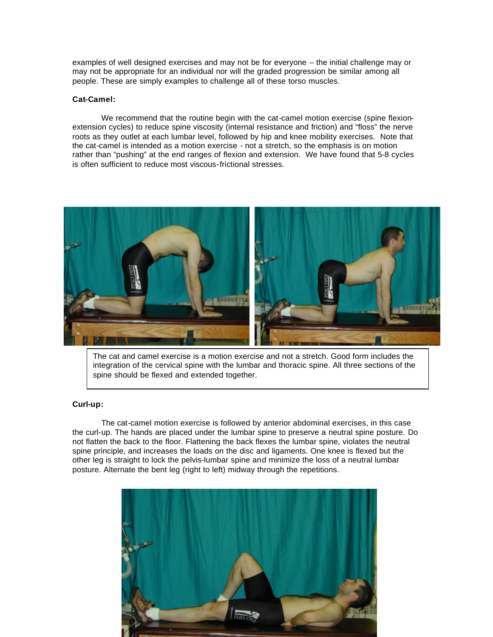examples of well designed exercises and may not be for everyone – the initial challenge may or may not be appropriate for an individual nor will the graded progression be similar among all people. These are simply examples to challenge all of these torso muscles.

### **Cat-Camel:**

We recommend that the routine begin with the cat-camel motion exercise (spine flexionextension cycles) to reduce spine viscosity (internal resistance and friction) and "floss" the nerve roots as they outlet at each lumbar level, followed by hip and knee mobility exercises. Note that the cat-camel is intended as a motion exercise - not a stretch, so the emphasis is on motion rather than "pushing" at the end ranges of flexion and extension. We have found that 5-8 cycles is often sufficient to reduce most viscous-frictional stresses.



The cat and camel exercise is a motion exercise and not a stretch. Good form includes the integration of the cervical spine with the lumbar and thoracic spine. All three sections of the spine should be flexed and extended together.

### **Curl-up:**

The cat-camel motion exercise is followed by anterior abdominal exercises, in this case the curl-up. The hands are placed under the lumbar spine to preserve a neutral spine posture. Do not flatten the back to the floor. Flattening the back flexes the lumbar spine, violates the neutral spine principle, and increases the loads on the disc and ligaments. One knee is flexed but the other leg is straight to lock the pelvis-lumbar spine and minimize the loss of a neutral lumbar posture. Alternate the bent leg (right to left) midway through the repetitions.

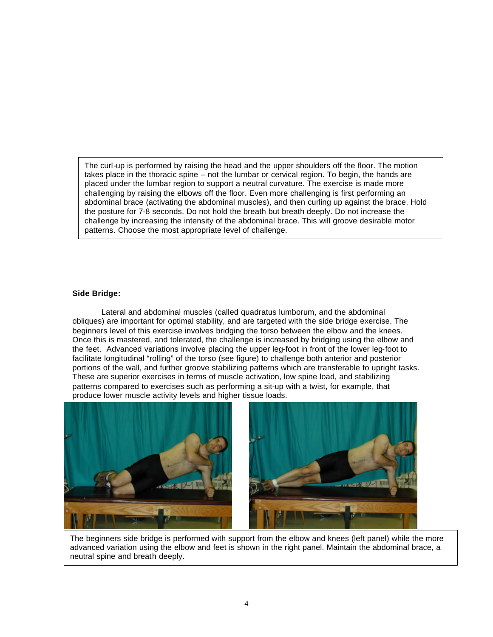The curl-up is performed by raising the head and the upper shoulders off the floor. The motion takes place in the thoracic spine – not the lumbar or cervical region. To begin, the hands are placed under the lumbar region to support a neutral curvature. The exercise is made more challenging by raising the elbows off the floor. Even more challenging is first performing an abdominal brace (activating the abdominal muscles), and then curling up against the brace. Hold the posture for 7-8 seconds. Do not hold the breath but breath deeply. Do not increase the challenge by increasing the intensity of the abdominal brace. This will groove desirable motor patterns. Choose the most appropriate level of challenge.

### **Side Bridge:**

Lateral and abdominal muscles (called quadratus lumborum, and the abdominal obliques) are important for optimal stability, and are targeted with the side bridge exercise. The beginners level of this exercise involves bridging the torso between the elbow and the knees. Once this is mastered, and tolerated, the challenge is increased by bridging using the elbow and the feet. Advanced variations involve placing the upper leg-foot in front of the lower leg-foot to facilitate longitudinal "rolling" of the torso (see figure) to challenge both anterior and posterior portions of the wall, and further groove stabilizing patterns which are transferable to upright tasks. These are superior exercises in terms of muscle activation, low spine load, and stabilizing patterns compared to exercises such as performing a sit-up with a twist, for example, that produce lower muscle activity levels and higher tissue loads.



The beginners side bridge is performed with support from the elbow and knees (left panel) while the more advanced variation using the elbow and feet is shown in the right panel. Maintain the abdominal brace, a neutral spine and breath deeply.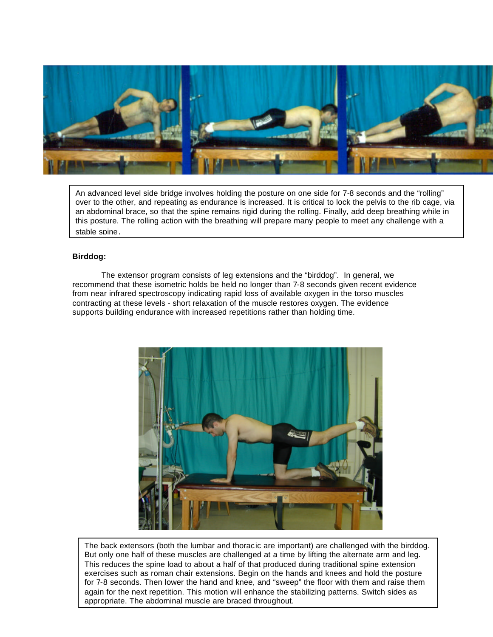

An advanced level side bridge involves holding the posture on one side for 7-8 seconds and the "rolling" over to the other, and repeating as endurance is increased. It is critical to lock the pelvis to the rib cage, via an abdominal brace, so that the spine remains rigid during the rolling. Finally, add deep breathing while in this posture. The rolling action with the breathing will prepare many people to meet any challenge with a stable spine.

### **Birddog:**

The extensor program consists of leg extensions and the "birddog". In general, we recommend that these isometric holds be held no longer than 7-8 seconds given recent evidence from near infrared spectroscopy indicating rapid loss of available oxygen in the torso muscles contracting at these levels - short relaxation of the muscle restores oxygen. The evidence supports building endurance with increased repetitions rather than holding time.



5 appropriate. The abdominal muscle are braced throughout.The back extensors (both the lumbar and thoracic are important) are challenged with the birddog. But only one half of these muscles are challenged at a time by lifting the alternate arm and leg. This reduces the spine load to about a half of that produced during traditional spine extension exercises such as roman chair extensions. Begin on the hands and knees and hold the posture for 7-8 seconds. Then lower the hand and knee, and "sweep" the floor with them and raise them again for the next repetition. This motion will enhance the stabilizing patterns. Switch sides as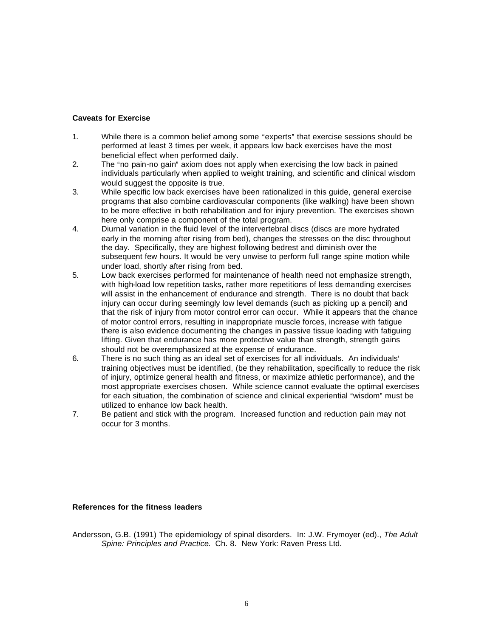# **Caveats for Exercise**

- 1. While there is a common belief among some "experts" that exercise sessions should be performed at least 3 times per week, it appears low back exercises have the most beneficial effect when performed daily.
- 2. The "no pain-no gain" axiom does not apply when exercising the low back in pained individuals particularly when applied to weight training, and scientific and clinical wisdom would suggest the opposite is true.
- 3. While specific low back exercises have been rationalized in this guide, general exercise programs that also combine cardiovascular components (like walking) have been shown to be more effective in both rehabilitation and for injury prevention. The exercises shown here only comprise a component of the total program.
- 4. Diurnal variation in the fluid level of the intervertebral discs (discs are more hydrated early in the morning after rising from bed), changes the stresses on the disc throughout the day. Specifically, they are highest following bedrest and diminish over the subsequent few hours. It would be very unwise to perform full range spine motion while under load, shortly after rising from bed.
- 5. Low back exercises performed for maintenance of health need not emphasize strength, with high-load low repetition tasks, rather more repetitions of less demanding exercises will assist in the enhancement of endurance and strength. There is no doubt that back injury can occur during seemingly low level demands (such as picking up a pencil) and that the risk of injury from motor control error can occur. While it appears that the chance of motor control errors, resulting in inappropriate muscle forces, increase with fatigue there is also evidence documenting the changes in passive tissue loading with fatiguing lifting. Given that endurance has more protective value than strength, strength gains should not be overemphasized at the expense of endurance.
- 6. There is no such thing as an ideal set of exercises for all individuals. An individuals= training objectives must be identified, (be they rehabilitation, specifically to reduce the risk of injury, optimize general health and fitness, or maximize athletic performance), and the most appropriate exercises chosen. While science cannot evaluate the optimal exercises for each situation, the combination of science and clinical experiential "wisdom" must be utilized to enhance low back health.
- 7. Be patient and stick with the program. Increased function and reduction pain may not occur for 3 months.

# **References for the fitness leaders**

Andersson, G.B. (1991) The epidemiology of spinal disorders. In: J.W. Frymoyer (ed)., *The Adult Spine: Principles and Practice*. Ch. 8. New York: Raven Press Ltd.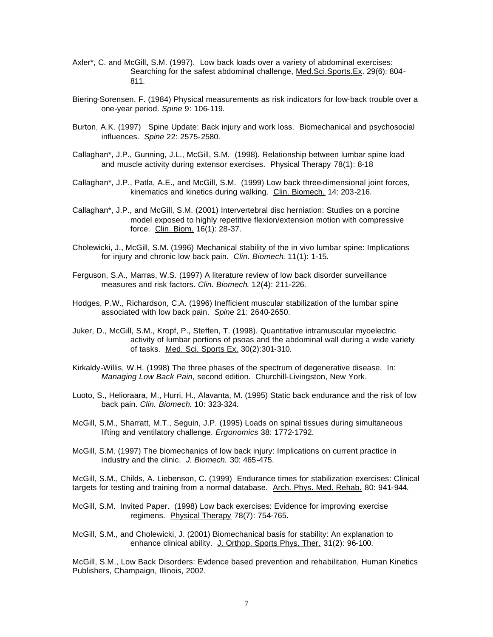- Axler\*, C. and McGill**,** S.M. (1997). Low back loads over a variety of abdominal exercises: Searching for the safest abdominal challenge, Med.Sci.Sports.Ex. 29(6): 804- 811.
- Biering-Sorensen, F. (1984) Physical measurements as risk indicators for low-back trouble over a one-year period. *Spine* 9: 106-119.
- Burton, A.K. (1997) Spine Update: Back injury and work loss. Biomechanical and psychosocial influences. *Spine* 22: 2575-2580.
- Callaghan\*, J.P., Gunning, J.L., McGill, S.M. (1998). Relationship between lumbar spine load and muscle activity during extensor exercises. Physical Therapy 78(1): 8-18
- Callaghan\*, J.P., Patla, A.E., and McGill, S.M. (1999) Low back three-dimensional joint forces, kinematics and kinetics during walking. Clin. Biomech. 14: 203-216.
- Callaghan\*, J.P., and McGill, S.M. (2001) Intervertebral disc herniation: Studies on a porcine model exposed to highly repetitive flexion/extension motion with compressive force. Clin. Biom. 16(1): 28-37.
- Cholewicki, J., McGill, S.M. (1996) Mechanical stability of the in vivo lumbar spine: Implications for injury and chronic low back pain. *Clin. Biomech*. 11(1): 1-15.
- Ferguson, S.A., Marras, W.S. (1997) A literature review of low back disorder surveillance measures and risk factors. *Clin. Biomech*. 12(4): 211-226.
- Hodges, P.W., Richardson, C.A. (1996) Inefficient muscular stabilization of the lumbar spine associated with low back pain. *Spine* 21: 2640-2650.
- Juker, D., McGill, S.M., Kropf, P., Steffen, T. (1998). Quantitative intramuscular myoelectric activity of lumbar portions of psoas and the abdominal wall during a wide variety of tasks. Med. Sci. Sports Ex. 30(2):301-310.
- Kirkaldy-Willis, W.H. (1998) The three phases of the spectrum of degenerative disease. In: *Managing Low Back Pain*, second edition. Churchill-Livingston, New York.
- Luoto, S., Helioraara, M., Hurri, H., Alavanta, M. (1995) Static back endurance and the risk of low back pain. *Clin. Biomech*. 10: 323-324.
- McGill, S.M., Sharratt, M.T., Seguin, J.P. (1995) Loads on spinal tissues during simultaneous lifting and ventilatory challenge. *Ergonomics* 38: 1772-1792.
- McGill, S.M. (1997) The biomechanics of low back injury: Implications on current practice in industry and the clinic. *J. Biomech.* 30: 465-475.

McGill, S.M., Childs, A. Liebenson, C. (1999) Endurance times for stabilization exercises: Clinical targets for testing and training from a normal database. Arch. Phys. Med. Rehab. 80: 941-944.

McGill, S.M. Invited Paper. (1998) Low back exercises: Evidence for improving exercise regimens. Physical Therapy 78(7): 754-765.

McGill, S.M., and Cholewicki, J. (2001) Biomechanical basis for stability: An explanation to enhance clinical ability. J. Orthop. Sports Phys. Ther. 31(2): 96-100.

McGill, S.M., Low Back Disorders: Evidence based prevention and rehabilitation, Human Kinetics Publishers, Champaign, Illinois, 2002.